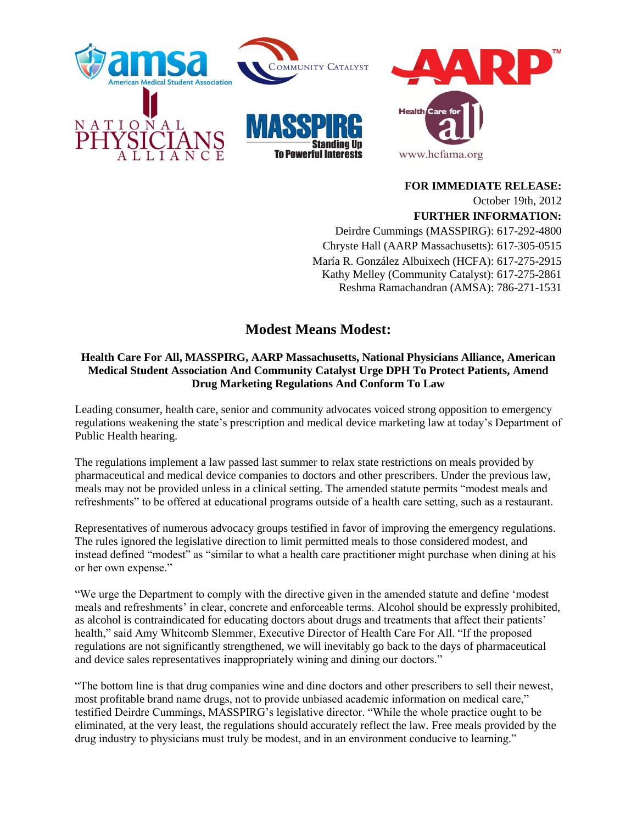

**FOR IMMEDIATE RELEASE:** October 19th, 2012 **FURTHER INFORMATION:** Deirdre Cummings (MASSPIRG): 617-292-4800 Chryste Hall (AARP Massachusetts): 617-305-0515 María R. González Albuixech (HCFA): 617-275-2915 Kathy Melley (Community Catalyst): 617-275-2861 Reshma Ramachandran (AMSA): 786-271-1531

## **Modest Means Modest:**

## **Health Care For All, MASSPIRG, AARP Massachusetts, National Physicians Alliance, American Medical Student Association And Community Catalyst Urge DPH To Protect Patients, Amend Drug Marketing Regulations And Conform To Law**

Leading consumer, health care, senior and community advocates voiced strong opposition to emergency regulations weakening the state's prescription and medical device marketing law at today's Department of Public Health hearing.

The regulations implement a law passed last summer to relax state restrictions on meals provided by pharmaceutical and medical device companies to doctors and other prescribers. Under the previous law, meals may not be provided unless in a clinical setting. The amended statute permits "modest meals and refreshments" to be offered at educational programs outside of a health care setting, such as a restaurant.

Representatives of numerous advocacy groups testified in favor of improving the emergency regulations. The rules ignored the legislative direction to limit permitted meals to those considered modest, and instead defined "modest" as "similar to what a health care practitioner might purchase when dining at his or her own expense."

"We urge the Department to comply with the directive given in the amended statute and define 'modest meals and refreshments' in clear, concrete and enforceable terms. Alcohol should be expressly prohibited, as alcohol is contraindicated for educating doctors about drugs and treatments that affect their patients' health," said Amy Whitcomb Slemmer, Executive Director of Health Care For All. "If the proposed regulations are not significantly strengthened, we will inevitably go back to the days of pharmaceutical and device sales representatives inappropriately wining and dining our doctors."

"The bottom line is that drug companies wine and dine doctors and other prescribers to sell their newest, most profitable brand name drugs, not to provide unbiased academic information on medical care," testified Deirdre Cummings, MASSPIRG's legislative director. "While the whole practice ought to be eliminated, at the very least, the regulations should accurately reflect the law. Free meals provided by the drug industry to physicians must truly be modest, and in an environment conducive to learning."